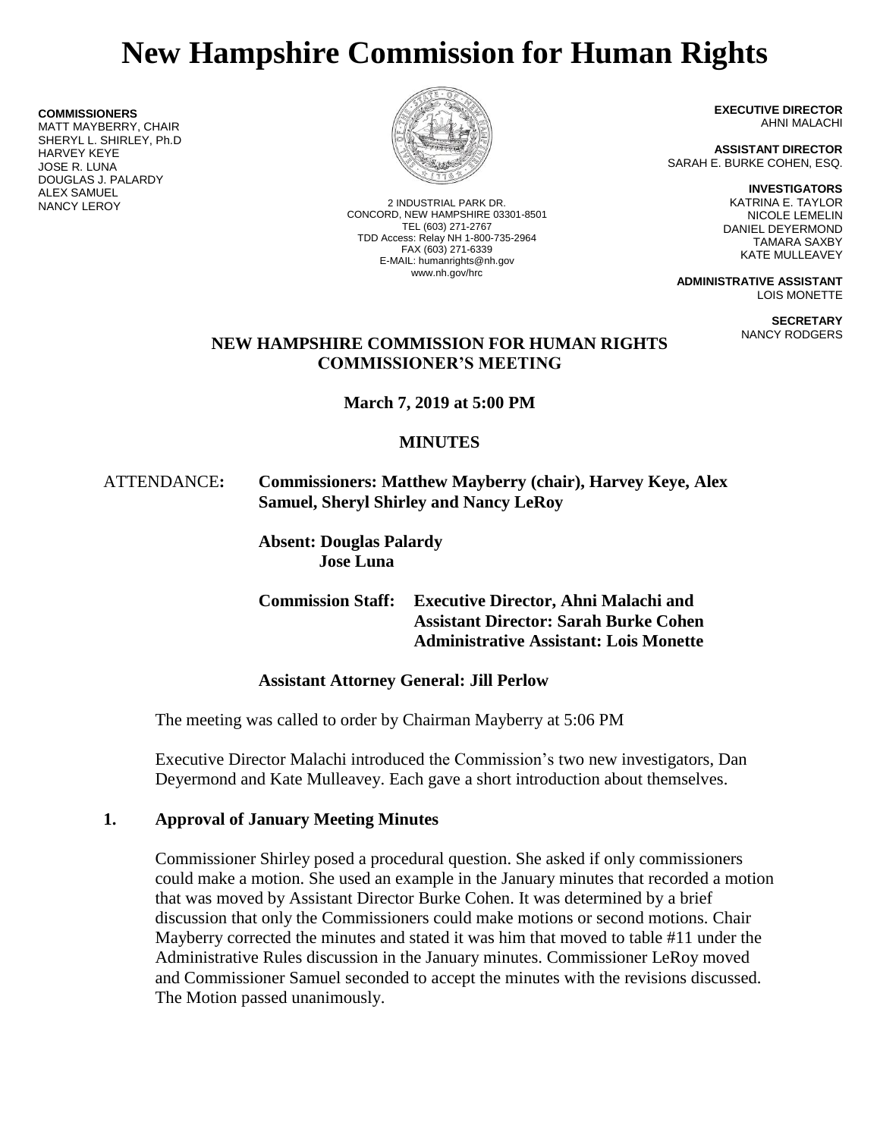# **New Hampshire Commission for Human Rights**

**COMMISSIONERS**

MATT MAYBERRY, CHAIR SHERYL L. SHIRLEY, Ph.D HARVEY KEYE JOSE R. LUNA DOUGLAS J. PALARDY **ALEX SAMUEL<br>NANCY LEROY** 



2 INDUSTRIAL PARK DR. CONCORD, NEW HAMPSHIRE 03301-8501 TEL (603) 271-2767 TDD Access: Relay NH 1-800-735-2964 FAX (603) 271-6339 E-MAIL: humanrights@nh.gov www.nh.gov/hrc

**EXECUTIVE DIRECTOR** AHNI MALACHI

**ASSISTANT DIRECTOR** SARAH E. BURKE COHEN, ESQ.

**INVESTIGATORS**

KATRINA E. TAYLOR NICOLE LEMELIN DANIEL DEYERMOND TAMARA SAXBY KATE MULLEAVEY

**ADMINISTRATIVE ASSISTANT** LOIS MONETTE

> **SECRETARY** NANCY RODGERS

## **NEW HAMPSHIRE COMMISSION FOR HUMAN RIGHTS COMMISSIONER'S MEETING**

**March 7, 2019 at 5:00 PM**

# **MINUTES**

# ATTENDANCE**: Commissioners: Matthew Mayberry (chair), Harvey Keye, Alex Samuel, Sheryl Shirley and Nancy LeRoy**

**Absent: Douglas Palardy Jose Luna**

**Commission Staff: Executive Director, Ahni Malachi and Assistant Director: Sarah Burke Cohen Administrative Assistant: Lois Monette**

# **Assistant Attorney General: Jill Perlow**

The meeting was called to order by Chairman Mayberry at 5:06 PM

Executive Director Malachi introduced the Commission's two new investigators, Dan Deyermond and Kate Mulleavey. Each gave a short introduction about themselves.

# **1. Approval of January Meeting Minutes**

Commissioner Shirley posed a procedural question. She asked if only commissioners could make a motion. She used an example in the January minutes that recorded a motion that was moved by Assistant Director Burke Cohen. It was determined by a brief discussion that only the Commissioners could make motions or second motions. Chair Mayberry corrected the minutes and stated it was him that moved to table #11 under the Administrative Rules discussion in the January minutes. Commissioner LeRoy moved and Commissioner Samuel seconded to accept the minutes with the revisions discussed. The Motion passed unanimously.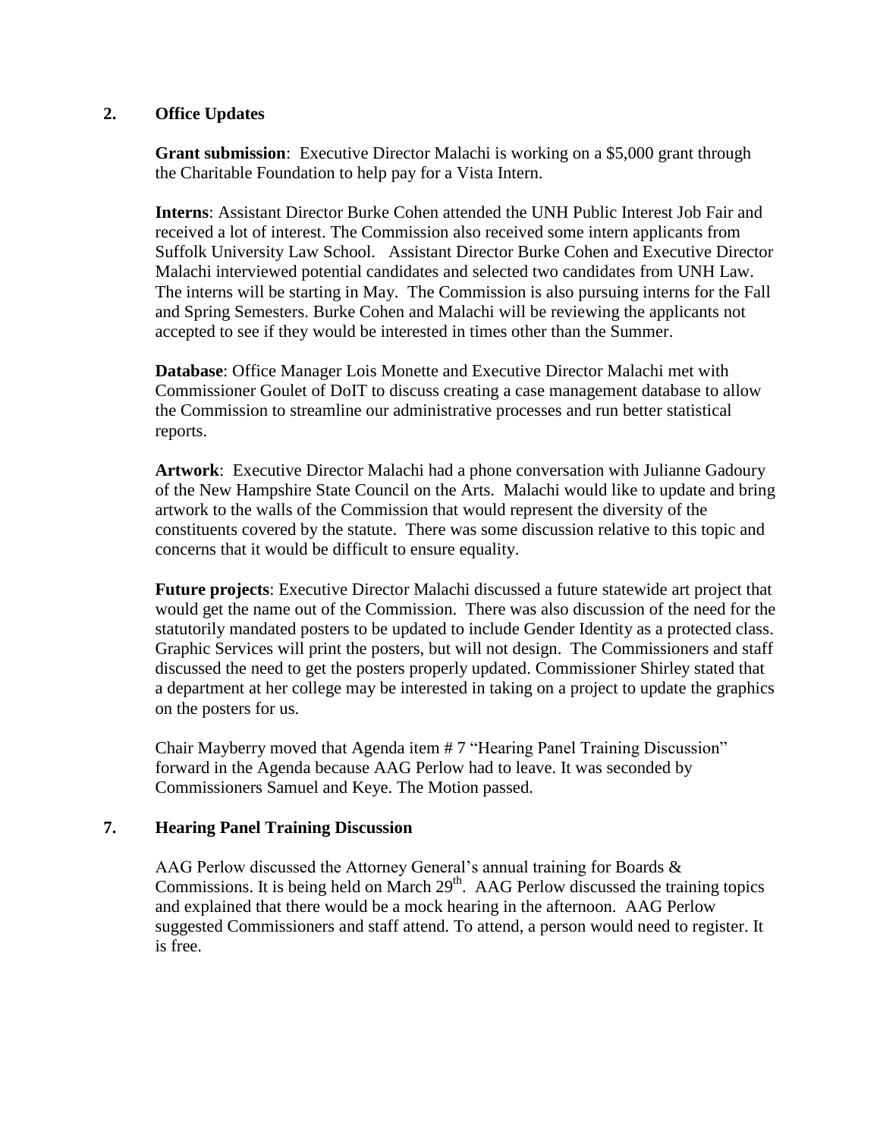## **2. Office Updates**

**Grant submission**: Executive Director Malachi is working on a \$5,000 grant through the Charitable Foundation to help pay for a Vista Intern.

**Interns**: Assistant Director Burke Cohen attended the UNH Public Interest Job Fair and received a lot of interest. The Commission also received some intern applicants from Suffolk University Law School. Assistant Director Burke Cohen and Executive Director Malachi interviewed potential candidates and selected two candidates from UNH Law. The interns will be starting in May. The Commission is also pursuing interns for the Fall and Spring Semesters. Burke Cohen and Malachi will be reviewing the applicants not accepted to see if they would be interested in times other than the Summer.

**Database**: Office Manager Lois Monette and Executive Director Malachi met with Commissioner Goulet of DoIT to discuss creating a case management database to allow the Commission to streamline our administrative processes and run better statistical reports.

**Artwork**: Executive Director Malachi had a phone conversation with Julianne Gadoury of the New Hampshire State Council on the Arts. Malachi would like to update and bring artwork to the walls of the Commission that would represent the diversity of the constituents covered by the statute. There was some discussion relative to this topic and concerns that it would be difficult to ensure equality.

**Future projects**: Executive Director Malachi discussed a future statewide art project that would get the name out of the Commission. There was also discussion of the need for the statutorily mandated posters to be updated to include Gender Identity as a protected class. Graphic Services will print the posters, but will not design. The Commissioners and staff discussed the need to get the posters properly updated. Commissioner Shirley stated that a department at her college may be interested in taking on a project to update the graphics on the posters for us.

Chair Mayberry moved that Agenda item # 7 "Hearing Panel Training Discussion" forward in the Agenda because AAG Perlow had to leave. It was seconded by Commissioners Samuel and Keye. The Motion passed.

# **7. Hearing Panel Training Discussion**

AAG Perlow discussed the Attorney General's annual training for Boards & Commissions. It is being held on March  $29<sup>th</sup>$ . AAG Perlow discussed the training topics and explained that there would be a mock hearing in the afternoon. AAG Perlow suggested Commissioners and staff attend. To attend, a person would need to register. It is free.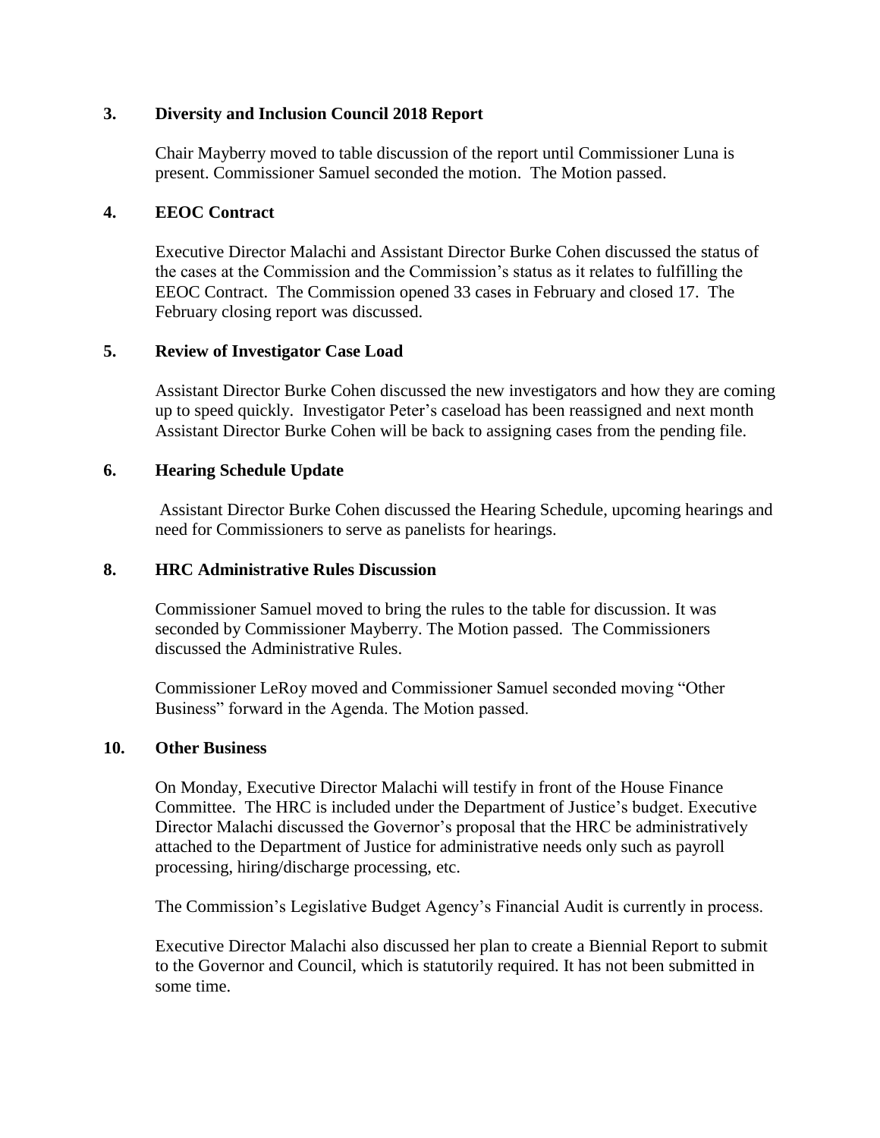## **3. Diversity and Inclusion Council 2018 Report**

Chair Mayberry moved to table discussion of the report until Commissioner Luna is present. Commissioner Samuel seconded the motion. The Motion passed.

## **4. EEOC Contract**

Executive Director Malachi and Assistant Director Burke Cohen discussed the status of the cases at the Commission and the Commission's status as it relates to fulfilling the EEOC Contract. The Commission opened 33 cases in February and closed 17.The February closing report was discussed.

## **5. Review of Investigator Case Load**

Assistant Director Burke Cohen discussed the new investigators and how they are coming up to speed quickly. Investigator Peter's caseload has been reassigned and next month Assistant Director Burke Cohen will be back to assigning cases from the pending file.

#### **6. Hearing Schedule Update**

Assistant Director Burke Cohen discussed the Hearing Schedule, upcoming hearings and need for Commissioners to serve as panelists for hearings.

#### **8. HRC Administrative Rules Discussion**

Commissioner Samuel moved to bring the rules to the table for discussion. It was seconded by Commissioner Mayberry. The Motion passed. The Commissioners discussed the Administrative Rules.

Commissioner LeRoy moved and Commissioner Samuel seconded moving "Other Business" forward in the Agenda. The Motion passed.

#### **10. Other Business**

On Monday, Executive Director Malachi will testify in front of the House Finance Committee. The HRC is included under the Department of Justice's budget. Executive Director Malachi discussed the Governor's proposal that the HRC be administratively attached to the Department of Justice for administrative needs only such as payroll processing, hiring/discharge processing, etc.

The Commission's Legislative Budget Agency's Financial Audit is currently in process.

Executive Director Malachi also discussed her plan to create a Biennial Report to submit to the Governor and Council, which is statutorily required. It has not been submitted in some time.